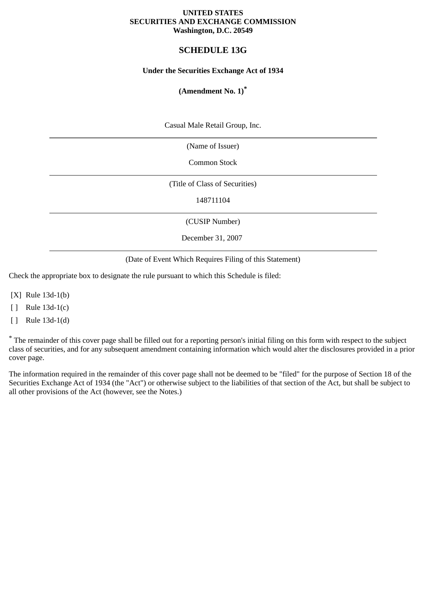#### **UNITED STATES SECURITIES AND EXCHANGE COMMISSION Washington, D.C. 20549**

# **SCHEDULE 13G**

# **Under the Securities Exchange Act of 1934**

# **(Amendment No. 1)\***

Casual Male Retail Group, Inc.

(Name of Issuer)

Common Stock

(Title of Class of Securities)

148711104

(CUSIP Number)

December 31, 2007

(Date of Event Which Requires Filing of this Statement)

Check the appropriate box to designate the rule pursuant to which this Schedule is filed:

[X] Rule 13d-1(b)

[ ] Rule 13d-1(c)

[ ] Rule 13d-1(d)

\* The remainder of this cover page shall be filled out for a reporting person's initial filing on this form with respect to the subject class of securities, and for any subsequent amendment containing information which would alter the disclosures provided in a prior cover page.

The information required in the remainder of this cover page shall not be deemed to be "filed" for the purpose of Section 18 of the Securities Exchange Act of 1934 (the "Act") or otherwise subject to the liabilities of that section of the Act, but shall be subject to all other provisions of the Act (however, see the Notes.)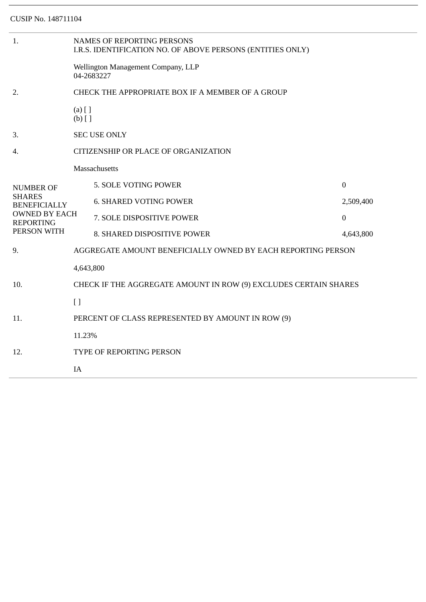| 1.                                                      | <b>NAMES OF REPORTING PERSONS</b><br>I.R.S. IDENTIFICATION NO. OF ABOVE PERSONS (ENTITIES ONLY) |                               |                  |  |  |
|---------------------------------------------------------|-------------------------------------------------------------------------------------------------|-------------------------------|------------------|--|--|
|                                                         | Wellington Management Company, LLP<br>04-2683227                                                |                               |                  |  |  |
| 2.                                                      | CHECK THE APPROPRIATE BOX IF A MEMBER OF A GROUP                                                |                               |                  |  |  |
|                                                         | $(a)$ [ ]<br>$(b)$ []                                                                           |                               |                  |  |  |
| 3.                                                      | <b>SEC USE ONLY</b>                                                                             |                               |                  |  |  |
| 4.                                                      | CITIZENSHIP OR PLACE OF ORGANIZATION                                                            |                               |                  |  |  |
|                                                         |                                                                                                 | <b>Massachusetts</b>          |                  |  |  |
| <b>NUMBER OF</b>                                        |                                                                                                 | 5. SOLE VOTING POWER          | $\boldsymbol{0}$ |  |  |
| <b>SHARES</b><br><b>BENEFICIALLY</b>                    |                                                                                                 | <b>6. SHARED VOTING POWER</b> | 2,509,400        |  |  |
| <b>OWNED BY EACH</b><br><b>REPORTING</b><br>PERSON WITH |                                                                                                 | 7. SOLE DISPOSITIVE POWER     | $\mathbf{0}$     |  |  |
|                                                         |                                                                                                 | 8. SHARED DISPOSITIVE POWER   | 4,643,800        |  |  |
| 9.                                                      | AGGREGATE AMOUNT BENEFICIALLY OWNED BY EACH REPORTING PERSON                                    |                               |                  |  |  |
|                                                         | 4,643,800                                                                                       |                               |                  |  |  |
| 10.                                                     | CHECK IF THE AGGREGATE AMOUNT IN ROW (9) EXCLUDES CERTAIN SHARES                                |                               |                  |  |  |
|                                                         | $\lceil$                                                                                        |                               |                  |  |  |
| 11.                                                     | PERCENT OF CLASS REPRESENTED BY AMOUNT IN ROW (9)                                               |                               |                  |  |  |
| 12.                                                     | 11.23%                                                                                          |                               |                  |  |  |
|                                                         | TYPE OF REPORTING PERSON                                                                        |                               |                  |  |  |
|                                                         | IA                                                                                              |                               |                  |  |  |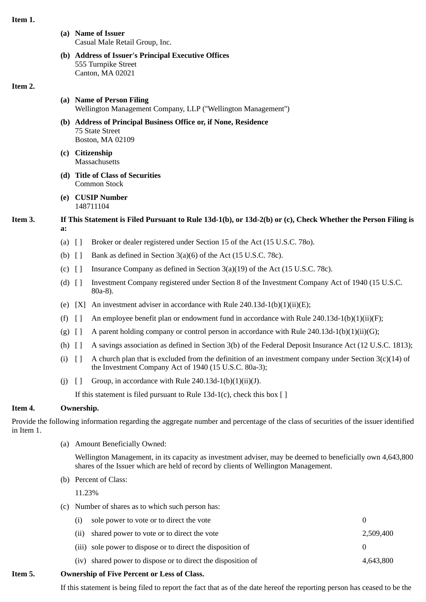#### **Item 1.**

- **(a) Name of Issuer** Casual Male Retail Group, Inc.
- **(b) Address of Issuer's Principal Executive Offices** 555 Turnpike Street Canton, MA 02021

#### **Item 2.**

- **(a) Name of Person Filing** Wellington Management Company, LLP (''Wellington Management'')
- **(b) Address of Principal Business Office or, if None, Residence** 75 State Street Boston, MA 02109
- **(c) Citizenship Massachusetts**
- **(d) Title of Class of Securities** Common Stock
- **(e) CUSIP Number** 148711104

# **Item 3. If This Statement is Filed Pursuant to Rule 13d-1(b), or 13d-2(b) or (c), Check Whether the Person Filing is a:**

- (a) [ ] Broker or dealer registered under Section 15 of the Act (15 U.S.C. 78o).
- (b)  $\begin{bmatrix} \end{bmatrix}$  Bank as defined in Section 3(a)(6) of the Act (15 U.S.C. 78c).
- (c) [ ] Insurance Company as defined in Section 3(a)(19) of the Act (15 U.S.C. 78c).
- (d) [ ] Investment Company registered under Section 8 of the Investment Company Act of 1940 (15 U.S.C. 80a-8).
- (e)  $[X]$  An investment adviser in accordance with Rule 240.13d-1(b)(1)(ii)(E);
- (f)  $\lceil$  An employee benefit plan or endowment fund in accordance with Rule 240.13d-1(b)(1)(ii)(F);
- (g)  $[]$  A parent holding company or control person in accordance with Rule 240.13d-1(b)(1)(ii)(G);
- (h) [ ] A savings association as defined in Section 3(b) of the Federal Deposit Insurance Act (12 U.S.C. 1813);
- (i)  $\lceil \rceil$  A church plan that is excluded from the definition of an investment company under Section 3(c)(14) of the Investment Company Act of 1940 (15 U.S.C. 80a-3);
- (i)  $\lceil \cdot \rceil$  Group, in accordance with Rule 240.13d-1(b)(1)(ii)(J).

If this statement is filed pursuant to Rule  $13d-1(c)$ , check this box [ ]

# **Item 4. Ownership.**

Provide the following information regarding the aggregate number and percentage of the class of securities of the issuer identified in Item 1.

(a) Amount Beneficially Owned:

Wellington Management, in its capacity as investment adviser, may be deemed to beneficially own 4,643,800 shares of the Issuer which are held of record by clients of Wellington Management.

(b) Percent of Class:

11.23%

(c) Number of shares as to which such person has:

| explain of Five Deveent on Lees of Class |                                                              |           |  |  |  |
|------------------------------------------|--------------------------------------------------------------|-----------|--|--|--|
|                                          | (iv) shared power to dispose or to direct the disposition of | 4,643,800 |  |  |  |
|                                          | (iii) sole power to dispose or to direct the disposition of  |           |  |  |  |
|                                          | (ii) shared power to vote or to direct the vote              | 2,509,400 |  |  |  |
|                                          | (i) sole power to vote or to direct the vote                 |           |  |  |  |

# **Item 5. Ownership of Five Percent or Less of Class.**

If this statement is being filed to report the fact that as of the date hereof the reporting person has ceased to be the